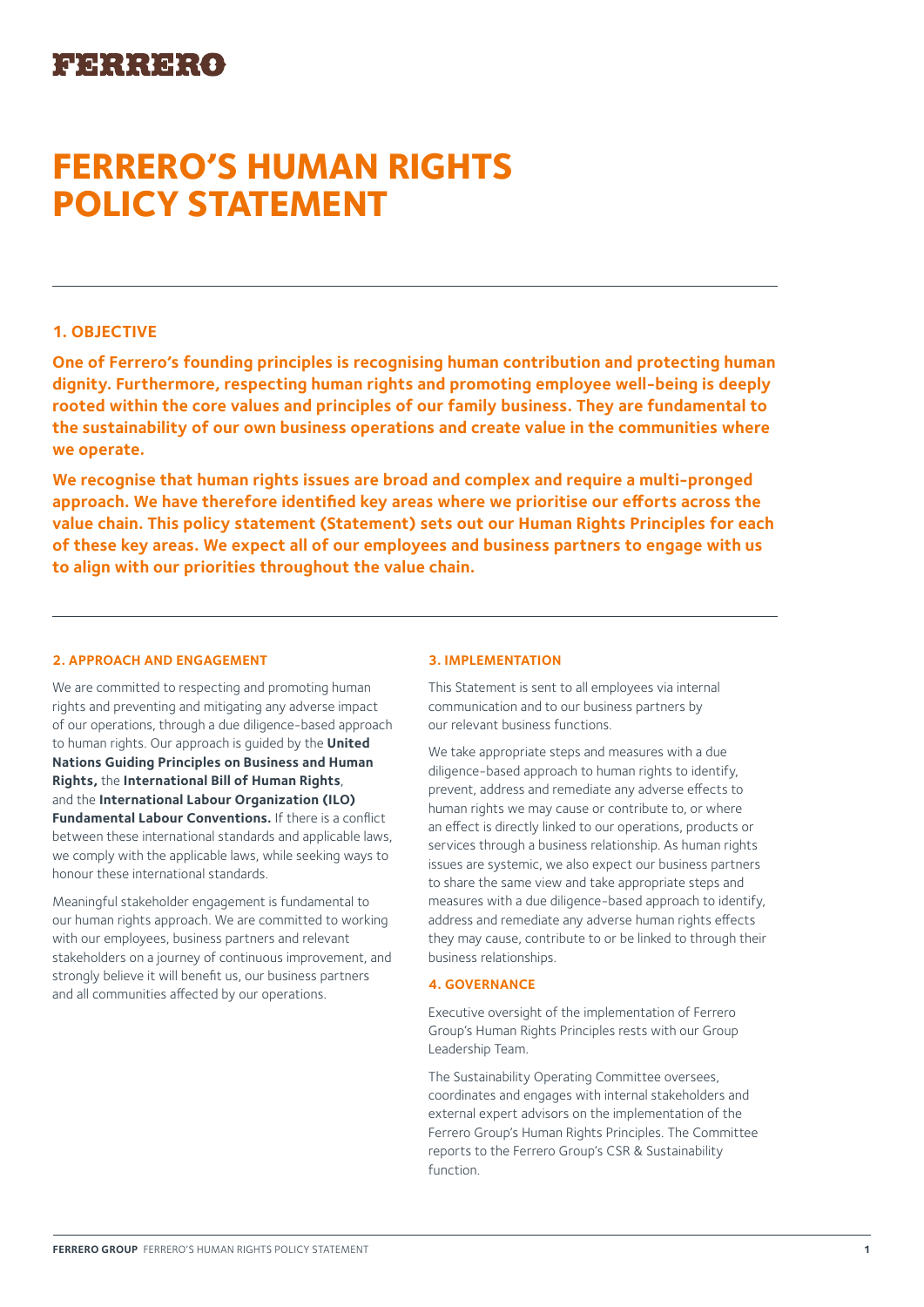# **FERRERO'S HUMAN RIGHTS POLICY STATEMENT**

## **1. OBJECTIVE**

**One of Ferrero's founding principles is recognising human contribution and protecting human dignity. Furthermore, respecting human rights and promoting employee well-being is deeply rooted within the core values and principles of our family business. They are fundamental to the sustainability of our own business operations and create value in the communities where we operate.**

**We recognise that human rights issues are broad and complex and require a multi-pronged approach. We have therefore identified key areas where we prioritise our efforts across the value chain. This policy statement (Statement) sets out our Human Rights Principles for each of these key areas. We expect all of our employees and business partners to engage with us to align with our priorities throughout the value chain.**

## **2. APPROACH AND ENGAGEMENT**

We are committed to respecting and promoting human rights and preventing and mitigating any adverse impact of our operations, through a due diligence-based approach to human rights. Our approach is guided by the **United Nations Guiding Principles on Business and Human Rights,** the **International Bill of Human Rights**, and the **International Labour Organization (ILO) Fundamental Labour Conventions.** If there is a conflict between these international standards and applicable laws, we comply with the applicable laws, while seeking ways to honour these international standards.

Meaningful stakeholder engagement is fundamental to our human rights approach. We are committed to working with our employees, business partners and relevant stakeholders on a journey of continuous improvement, and strongly believe it will benefit us, our business partners and all communities affected by our operations.

## **3. IMPLEMENTATION**

This Statement is sent to all employees via internal communication and to our business partners by our relevant business functions.

We take appropriate steps and measures with a due diligence-based approach to human rights to identify, prevent, address and remediate any adverse effects to human rights we may cause or contribute to, or where an effect is directly linked to our operations, products or services through a business relationship. As human rights issues are systemic, we also expect our business partners to share the same view and take appropriate steps and measures with a due diligence-based approach to identify, address and remediate any adverse human rights effects they may cause, contribute to or be linked to through their business relationships.

## **4. GOVERNANCE**

Executive oversight of the implementation of Ferrero Group's Human Rights Principles rests with our Group Leadership Team.

The Sustainability Operating Committee oversees, coordinates and engages with internal stakeholders and external expert advisors on the implementation of the Ferrero Group's Human Rights Principles. The Committee reports to the Ferrero Group's CSR & Sustainability function.